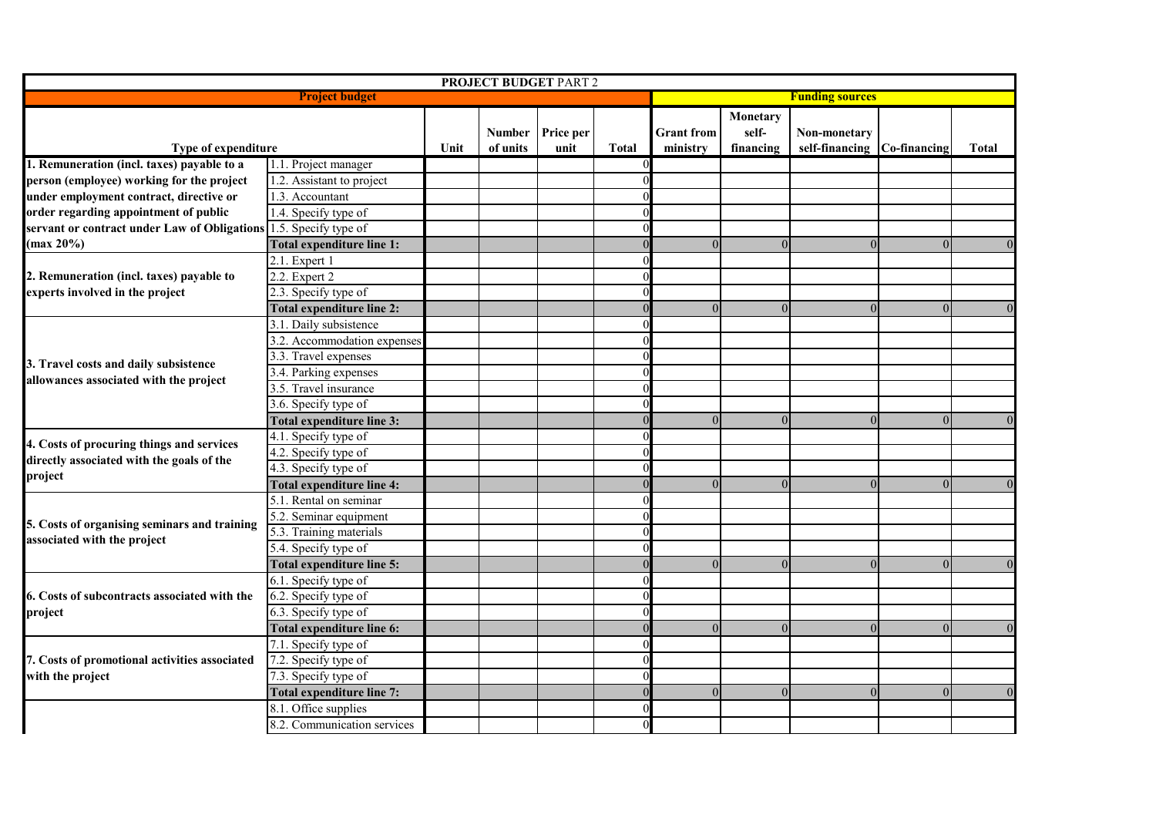| <b>PROJECT BUDGET PART 2</b>                                                                          |                                    |      |                    |                   |              |                               |                                |                                             |          |                |  |
|-------------------------------------------------------------------------------------------------------|------------------------------------|------|--------------------|-------------------|--------------|-------------------------------|--------------------------------|---------------------------------------------|----------|----------------|--|
| <b>Project budget</b>                                                                                 |                                    |      |                    |                   |              |                               | <b>Funding sources</b>         |                                             |          |                |  |
| Type of expenditure                                                                                   |                                    | Unit | Number<br>of units | Price per<br>unit | <b>Total</b> | <b>Grant</b> from<br>ministry | Monetary<br>self-<br>financing | Non-monetary<br>self-financing Co-financing |          | <b>Total</b>   |  |
| 1. Remuneration (incl. taxes) payable to a                                                            | 1.1. Project manager               |      |                    |                   |              |                               |                                |                                             |          |                |  |
| person (employee) working for the project                                                             | 1.2. Assistant to project          |      |                    |                   |              |                               |                                |                                             |          |                |  |
| under employment contract, directive or                                                               | 1.3. Accountant                    |      |                    |                   |              |                               |                                |                                             |          |                |  |
| order regarding appointment of public<br>servant or contract under Law of Obligations<br>$(max 20\%)$ | 1.4. Specify type of               |      |                    |                   |              |                               |                                |                                             |          |                |  |
|                                                                                                       | 1.5. Specify type of               |      |                    |                   |              |                               |                                |                                             |          |                |  |
|                                                                                                       | Total expenditure line 1:          |      |                    |                   |              | $\theta$                      |                                | $\overline{0}$                              | 0        | $\overline{0}$ |  |
| 2. Remuneration (incl. taxes) payable to<br>experts involved in the project                           | 2.1. Expert 1                      |      |                    |                   |              |                               |                                |                                             |          |                |  |
|                                                                                                       | 2.2. Expert 2                      |      |                    |                   |              |                               |                                |                                             |          |                |  |
|                                                                                                       | 2.3. Specify type of               |      |                    |                   |              |                               |                                |                                             |          |                |  |
|                                                                                                       | <b>Total expenditure line 2:</b>   |      |                    |                   |              | $\Omega$                      | $\Omega$                       | $\overline{0}$                              | $\Omega$ | $\Omega$       |  |
|                                                                                                       | 3.1. Daily subsistence             |      |                    |                   |              |                               |                                |                                             |          |                |  |
| 3. Travel costs and daily subsistence<br>allowances associated with the project                       | 3.2. Accommodation expenses        |      |                    |                   |              |                               |                                |                                             |          |                |  |
|                                                                                                       | 3.3. Travel expenses               |      |                    |                   |              |                               |                                |                                             |          |                |  |
|                                                                                                       | 3.4. Parking expenses              |      |                    |                   |              |                               |                                |                                             |          |                |  |
|                                                                                                       | 3.5. Travel insurance              |      |                    |                   |              |                               |                                |                                             |          |                |  |
|                                                                                                       | $\overline{3.6}$ . Specify type of |      |                    |                   |              |                               |                                |                                             |          |                |  |
|                                                                                                       | Total expenditure line 3:          |      |                    |                   |              | $\Omega$                      |                                | $\Omega$                                    | $\Omega$ | $\Omega$       |  |
| 4. Costs of procuring things and services                                                             | 4.1. Specify type of               |      |                    |                   |              |                               |                                |                                             |          |                |  |
| directly associated with the goals of the                                                             | 4.2. Specify type of               |      |                    |                   |              |                               |                                |                                             |          |                |  |
| project                                                                                               | 4.3. Specify type of               |      |                    |                   |              |                               |                                |                                             |          |                |  |
|                                                                                                       | <b>Total expenditure line 4:</b>   |      |                    |                   |              | $\Omega$                      | $\Omega$                       | $\Omega$                                    | $\Omega$ | $\Omega$       |  |
| 5. Costs of organising seminars and training<br>associated with the project                           | 5.1. Rental on seminar             |      |                    |                   |              |                               |                                |                                             |          |                |  |
|                                                                                                       | 5.2. Seminar equipment             |      |                    |                   |              |                               |                                |                                             |          |                |  |
|                                                                                                       | 5.3. Training materials            |      |                    |                   |              |                               |                                |                                             |          |                |  |
|                                                                                                       | 5.4. Specify type of               |      |                    |                   |              |                               |                                |                                             |          |                |  |
|                                                                                                       | <b>Total expenditure line 5:</b>   |      |                    |                   |              | $\Omega$                      |                                | $\Omega$                                    | 0        | $\overline{0}$ |  |
| 6. Costs of subcontracts associated with the<br>project                                               | 6.1. Specify type of               |      |                    |                   |              |                               |                                |                                             |          |                |  |
|                                                                                                       | 6.2. Specify type of               |      |                    |                   |              |                               |                                |                                             |          |                |  |
|                                                                                                       | 6.3. Specify type of               |      |                    |                   |              |                               |                                |                                             |          |                |  |
|                                                                                                       | Total expenditure line 6:          |      |                    |                   |              | $\theta$                      | $\Omega$                       | $\Omega$                                    | $\Omega$ | $\Omega$       |  |
| 7. Costs of promotional activities associated<br>with the project                                     | 7.1. Specify type of               |      |                    |                   |              |                               |                                |                                             |          |                |  |
|                                                                                                       | 7.2. Specify type of               |      |                    |                   |              |                               |                                |                                             |          |                |  |
|                                                                                                       | 7.3. Specify type of               |      |                    |                   |              |                               |                                |                                             |          |                |  |
|                                                                                                       | Total expenditure line 7:          |      |                    |                   |              | $\Omega$                      | $\Omega$                       | $\theta$                                    | $\Omega$ | $\Omega$       |  |
|                                                                                                       | 8.1. Office supplies               |      |                    |                   |              |                               |                                |                                             |          |                |  |
|                                                                                                       | 8.2. Communication services        |      |                    |                   |              |                               |                                |                                             |          |                |  |